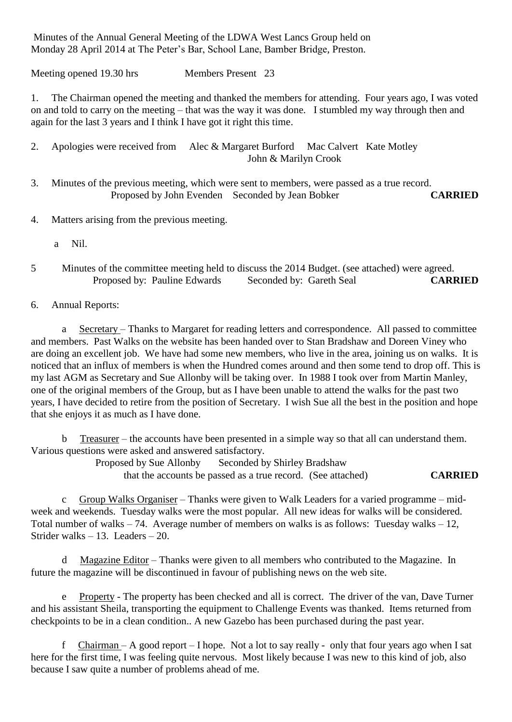Minutes of the Annual General Meeting of the LDWA West Lancs Group held on Monday 28 April 2014 at The Peter's Bar, School Lane, Bamber Bridge, Preston.

Meeting opened 19.30 hrs Members Present 23

1. The Chairman opened the meeting and thanked the members for attending. Four years ago, I was voted on and told to carry on the meeting – that was the way it was done. I stumbled my way through then and again for the last 3 years and I think I have got it right this time.

2. Apologies were received from Alec & Margaret Burford Mac Calvert Kate Motley John & Marilyn Crook

- 3. Minutes of the previous meeting, which were sent to members, were passed as a true record. Proposed by John Evenden Seconded by Jean Bobker **CARRIED**
- 4. Matters arising from the previous meeting.
	- a Nil.
- 5 Minutes of the committee meeting held to discuss the 2014 Budget. (see attached) were agreed. Proposed by: Pauline Edwards Seconded by: Gareth Seal **CARRIED**
- 6. Annual Reports:

a Secretary – Thanks to Margaret for reading letters and correspondence. All passed to committee and members. Past Walks on the website has been handed over to Stan Bradshaw and Doreen Viney who are doing an excellent job. We have had some new members, who live in the area, joining us on walks. It is noticed that an influx of members is when the Hundred comes around and then some tend to drop off. This is my last AGM as Secretary and Sue Allonby will be taking over. In 1988 I took over from Martin Manley, one of the original members of the Group, but as I have been unable to attend the walks for the past two years, I have decided to retire from the position of Secretary. I wish Sue all the best in the position and hope that she enjoys it as much as I have done.

b Treasurer – the accounts have been presented in a simple way so that all can understand them. Various questions were asked and answered satisfactory.

Proposed by Sue Allonby Seconded by Shirley Bradshaw

that the accounts be passed as a true record. (See attached) **CARRIED**

c Group Walks Organiser – Thanks were given to Walk Leaders for a varied programme – midweek and weekends. Tuesday walks were the most popular. All new ideas for walks will be considered. Total number of walks – 74. Average number of members on walks is as follows: Tuesday walks – 12, Strider walks – 13. Leaders – 20.

d Magazine Editor – Thanks were given to all members who contributed to the Magazine. In future the magazine will be discontinued in favour of publishing news on the web site.

e Property - The property has been checked and all is correct. The driver of the van, Dave Turner and his assistant Sheila, transporting the equipment to Challenge Events was thanked. Items returned from checkpoints to be in a clean condition.. A new Gazebo has been purchased during the past year.

f Chairman – A good report – I hope. Not a lot to say really - only that four years ago when I sat here for the first time, I was feeling quite nervous. Most likely because I was new to this kind of job, also because I saw quite a number of problems ahead of me.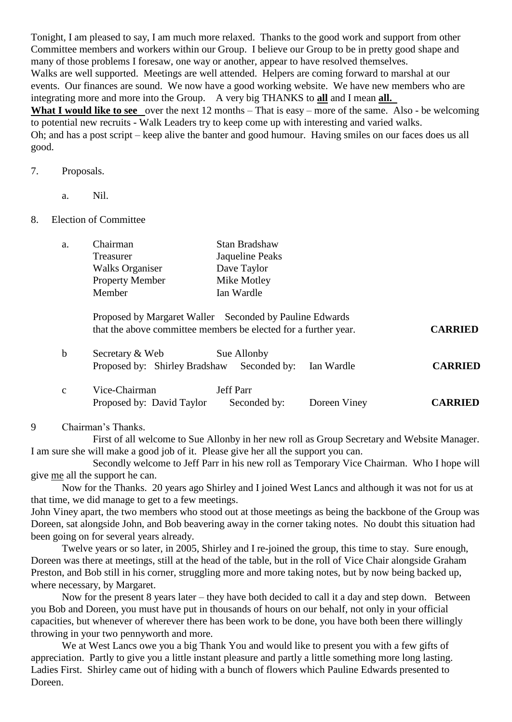Tonight, I am pleased to say, I am much more relaxed. Thanks to the good work and support from other Committee members and workers within our Group. I believe our Group to be in pretty good shape and many of those problems I foresaw, one way or another, appear to have resolved themselves. Walks are well supported. Meetings are well attended. Helpers are coming forward to marshal at our events. Our finances are sound. We now have a good working website. We have new members who are integrating more and more into the Group. A very big THANKS to **all** and I mean **all. What I would like to see** over the next 12 months – That is easy – more of the same. Also - be welcoming to potential new recruits - Walk Leaders try to keep come up with interesting and varied walks. Oh; and has a post script – keep alive the banter and good humour. Having smiles on our faces does us all good.

## 7. Proposals.

a. Nil.

## 8. Election of Committee

| a. | Chairman                                                                                                                   | Stan Bradshaw   |  |  |
|----|----------------------------------------------------------------------------------------------------------------------------|-----------------|--|--|
|    | Treasurer                                                                                                                  | Jaqueline Peaks |  |  |
|    | <b>Walks Organiser</b>                                                                                                     | Dave Taylor     |  |  |
|    | <b>Property Member</b>                                                                                                     | Mike Motley     |  |  |
|    | Member                                                                                                                     | Ian Wardle      |  |  |
|    | Proposed by Margaret Waller Seconded by Pauline Edwards<br>that the above committee members be elected for a further year. |                 |  |  |

| Secretary & Web |                                                       | Sue Allonby |  |                |
|-----------------|-------------------------------------------------------|-------------|--|----------------|
|                 | Proposed by: Shirley Bradshaw Seconded by: Ian Wardle |             |  | <b>CARRIED</b> |

that the above committee members be elected for a further year. **CARRIED**

| Vice-Chairman             | <b>Jeff Parr</b> |              |                |
|---------------------------|------------------|--------------|----------------|
| Proposed by: David Taylor | Seconded by:     | Doreen Viney | <b>CARRIED</b> |

## 9 Chairman's Thanks.

First of all welcome to Sue Allonby in her new roll as Group Secretary and Website Manager. I am sure she will make a good job of it. Please give her all the support you can.

Secondly welcome to Jeff Parr in his new roll as Temporary Vice Chairman. Who I hope will give me all the support he can.

Now for the Thanks. 20 years ago Shirley and I joined West Lancs and although it was not for us at that time, we did manage to get to a few meetings.

John Viney apart, the two members who stood out at those meetings as being the backbone of the Group was Doreen, sat alongside John, and Bob beavering away in the corner taking notes. No doubt this situation had been going on for several years already.

Twelve years or so later, in 2005, Shirley and I re-joined the group, this time to stay. Sure enough, Doreen was there at meetings, still at the head of the table, but in the roll of Vice Chair alongside Graham Preston, and Bob still in his corner, struggling more and more taking notes, but by now being backed up, where necessary, by Margaret.

Now for the present 8 years later – they have both decided to call it a day and step down. Between you Bob and Doreen, you must have put in thousands of hours on our behalf, not only in your official capacities, but whenever of wherever there has been work to be done, you have both been there willingly throwing in your two pennyworth and more.

We at West Lancs owe you a big Thank You and would like to present you with a few gifts of appreciation. Partly to give you a little instant pleasure and partly a little something more long lasting. Ladies First. Shirley came out of hiding with a bunch of flowers which Pauline Edwards presented to Doreen.